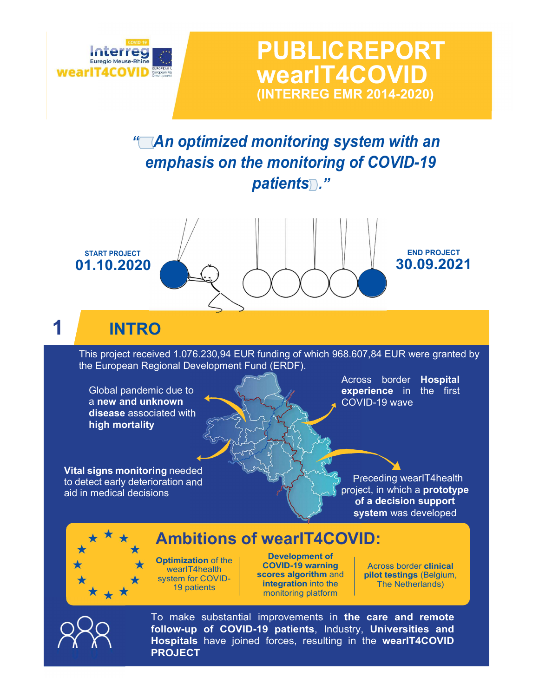

**PUBLICREPORT** wearIT4COVID (INTERREG EMR 2014-2020)

"<sup>An</sup> optimized monitoring system with an emphasis on the monitoring of COVID-19 patients."





To make substantial improvements in the care and remote follow-up of COVID-19 patients, Industry, Universities and Hospitals have joined forces, resulting in the wearIT4COVID PROJECT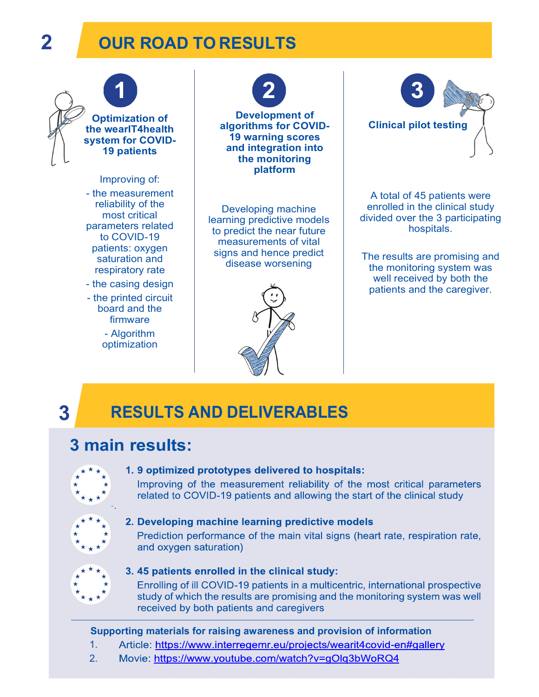## 2 OUR ROAD TO RESULTS



# 3 RESULTS AND DELIVERABLES

### 3 main results:



#### 1.9 optimized prototypes delivered to hospitals:

Improving of the measurement reliability of the most critical parameters related to COVID-19 patients and allowing the start of the clinical study



#### 2. Developing machine learning predictive models

Prediction performance of the main vital signs (heart rate, respiration rate, and oxygen saturation)



#### 3. 45 patients enrolled in the clinical study:

Enrolling of ill COVID-19 patients in a multicentric, international prospective study of which the results are promising and the monitoring system was well received by both patients and caregivers

#### Supporting materials for raising awareness and provision of information

- 1. Article: https://www.interregemr.eu/projects/wearit4covid-en#gallery
- 2. Movie: https://www.youtube.com/watch?v=gOlq3bWoRQ4